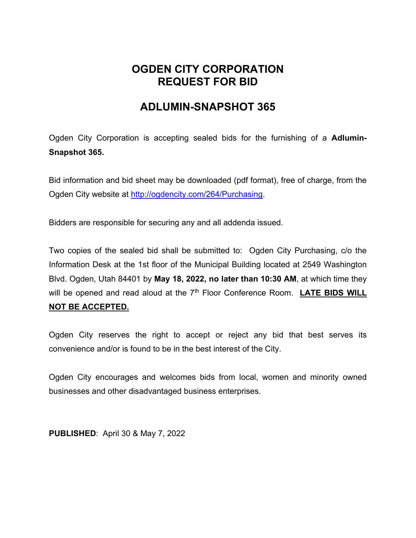## **OGDEN CITY CORPORATION REQUEST FOR BID**

## **ADLUMIN-SNAPSHOT 365**

Ogden City Corporation is accepting sealed bids for the furnishing of a **Adlumin-Snapshot 365.**

Bid information and bid sheet may be downloaded (pdf format), free of charge, from the Ogden City website at http://ogdencity.com/264/Purchasing.

Bidders are responsible for securing any and all addenda issued.

Two copies of the sealed bid shall be submitted to: Ogden City Purchasing, c/o the Information Desk at the 1st floor of the Municipal Building located at 2549 Washington Blvd. Ogden, Utah 84401 by **May 18, 2022, no later than 10:30 AM**, at which time they will be opened and read aloud at the 7<sup>th</sup> Floor Conference Room. LATE BIDS WILL **NOT BE ACCEPTED.** 

Ogden City reserves the right to accept or reject any bid that best serves its convenience and/or is found to be in the best interest of the City.

Ogden City encourages and welcomes bids from local, women and minority owned businesses and other disadvantaged business enterprises.

**PUBLISHED**: April 30 & May 7, 2022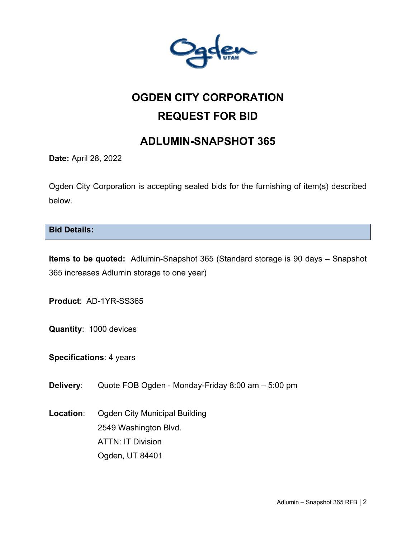

# **OGDEN CITY CORPORATION REQUEST FOR BID**

## **ADLUMIN-SNAPSHOT 365**

**Date:** April 28, 2022

Ogden City Corporation is accepting sealed bids for the furnishing of item(s) described below.

**Bid Details:** 

**Items to be quoted:** Adlumin-Snapshot 365 (Standard storage is 90 days – Snapshot 365 increases Adlumin storage to one year)

**Product**: AD-1YR-SS365

**Quantity**: 1000 devices

**Specifications**: 4 years

**Delivery**: Quote FOB Ogden - Monday-Friday 8:00 am – 5:00 pm

**Location**: Ogden City Municipal Building 2549 Washington Blvd. ATTN: IT Division Ogden, UT 84401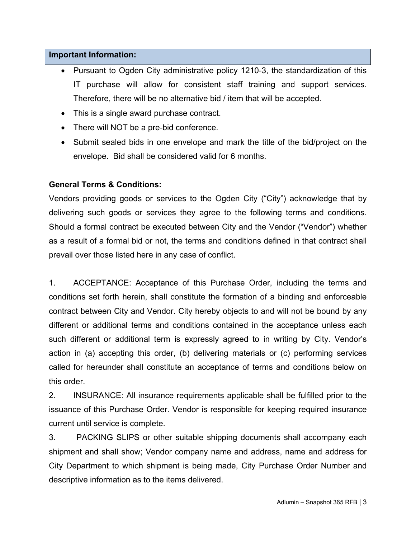#### **Important Information:**

- Pursuant to Ogden City administrative policy 1210-3, the standardization of this IT purchase will allow for consistent staff training and support services. Therefore, there will be no alternative bid / item that will be accepted.
- This is a single award purchase contract.
- There will NOT be a pre-bid conference.
- Submit sealed bids in one envelope and mark the title of the bid/project on the envelope. Bid shall be considered valid for 6 months.

#### **General Terms & Conditions:**

Vendors providing goods or services to the Ogden City ("City") acknowledge that by delivering such goods or services they agree to the following terms and conditions. Should a formal contract be executed between City and the Vendor ("Vendor") whether as a result of a formal bid or not, the terms and conditions defined in that contract shall prevail over those listed here in any case of conflict.

1. ACCEPTANCE: Acceptance of this Purchase Order, including the terms and conditions set forth herein, shall constitute the formation of a binding and enforceable contract between City and Vendor. City hereby objects to and will not be bound by any different or additional terms and conditions contained in the acceptance unless each such different or additional term is expressly agreed to in writing by City. Vendor's action in (a) accepting this order, (b) delivering materials or (c) performing services called for hereunder shall constitute an acceptance of terms and conditions below on this order.

2. INSURANCE: All insurance requirements applicable shall be fulfilled prior to the issuance of this Purchase Order. Vendor is responsible for keeping required insurance current until service is complete.

3. PACKING SLIPS or other suitable shipping documents shall accompany each shipment and shall show; Vendor company name and address, name and address for City Department to which shipment is being made, City Purchase Order Number and descriptive information as to the items delivered.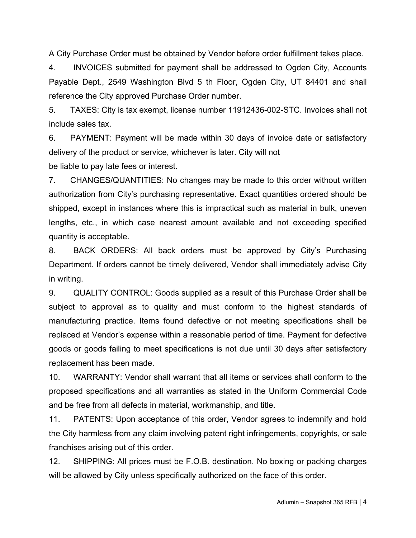A City Purchase Order must be obtained by Vendor before order fulfillment takes place.

4. INVOICES submitted for payment shall be addressed to Ogden City, Accounts Payable Dept., 2549 Washington Blvd 5 th Floor, Ogden City, UT 84401 and shall reference the City approved Purchase Order number.

5. TAXES: City is tax exempt, license number 11912436-002-STC. Invoices shall not include sales tax.

6. PAYMENT: Payment will be made within 30 days of invoice date or satisfactory delivery of the product or service, whichever is later. City will not

be liable to pay late fees or interest.

7. CHANGES/QUANTITIES: No changes may be made to this order without written authorization from City's purchasing representative. Exact quantities ordered should be shipped, except in instances where this is impractical such as material in bulk, uneven lengths, etc., in which case nearest amount available and not exceeding specified quantity is acceptable.

8. BACK ORDERS: All back orders must be approved by City's Purchasing Department. If orders cannot be timely delivered, Vendor shall immediately advise City in writing.

9. QUALITY CONTROL: Goods supplied as a result of this Purchase Order shall be subject to approval as to quality and must conform to the highest standards of manufacturing practice. Items found defective or not meeting specifications shall be replaced at Vendor's expense within a reasonable period of time. Payment for defective goods or goods failing to meet specifications is not due until 30 days after satisfactory replacement has been made.

10. WARRANTY: Vendor shall warrant that all items or services shall conform to the proposed specifications and all warranties as stated in the Uniform Commercial Code and be free from all defects in material, workmanship, and title.

11. PATENTS: Upon acceptance of this order, Vendor agrees to indemnify and hold the City harmless from any claim involving patent right infringements, copyrights, or sale franchises arising out of this order.

12. SHIPPING: All prices must be F.O.B. destination. No boxing or packing charges will be allowed by City unless specifically authorized on the face of this order.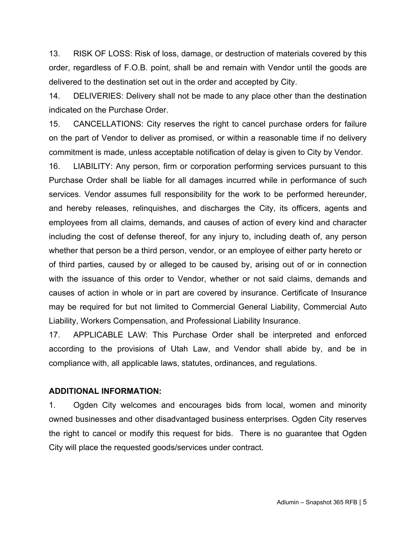13. RISK OF LOSS: Risk of loss, damage, or destruction of materials covered by this order, regardless of F.O.B. point, shall be and remain with Vendor until the goods are delivered to the destination set out in the order and accepted by City.

14. DELIVERIES: Delivery shall not be made to any place other than the destination indicated on the Purchase Order.

15. CANCELLATIONS: City reserves the right to cancel purchase orders for failure on the part of Vendor to deliver as promised, or within a reasonable time if no delivery commitment is made, unless acceptable notification of delay is given to City by Vendor.

16. LIABILITY: Any person, firm or corporation performing services pursuant to this Purchase Order shall be liable for all damages incurred while in performance of such services. Vendor assumes full responsibility for the work to be performed hereunder, and hereby releases, relinquishes, and discharges the City, its officers, agents and employees from all claims, demands, and causes of action of every kind and character including the cost of defense thereof, for any injury to, including death of, any person whether that person be a third person, vendor, or an employee of either party hereto or of third parties, caused by or alleged to be caused by, arising out of or in connection with the issuance of this order to Vendor, whether or not said claims, demands and causes of action in whole or in part are covered by insurance. Certificate of Insurance may be required for but not limited to Commercial General Liability, Commercial Auto Liability, Workers Compensation, and Professional Liability Insurance.

17. APPLICABLE LAW: This Purchase Order shall be interpreted and enforced according to the provisions of Utah Law, and Vendor shall abide by, and be in compliance with, all applicable laws, statutes, ordinances, and regulations.

#### **ADDITIONAL INFORMATION:**

1. Ogden City welcomes and encourages bids from local, women and minority owned businesses and other disadvantaged business enterprises. Ogden City reserves the right to cancel or modify this request for bids. There is no guarantee that Ogden City will place the requested goods/services under contract.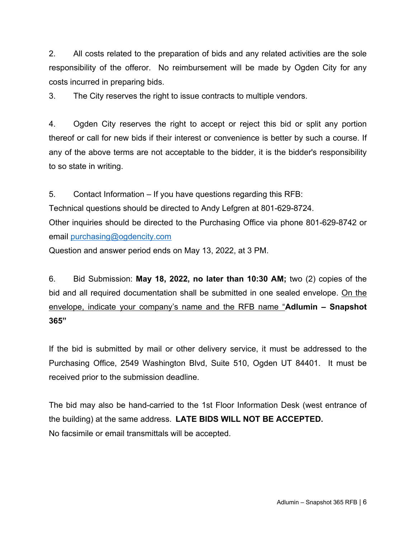2. All costs related to the preparation of bids and any related activities are the sole responsibility of the offeror. No reimbursement will be made by Ogden City for any costs incurred in preparing bids.

3. The City reserves the right to issue contracts to multiple vendors.

4. Ogden City reserves the right to accept or reject this bid or split any portion thereof or call for new bids if their interest or convenience is better by such a course. If any of the above terms are not acceptable to the bidder, it is the bidder's responsibility to so state in writing.

5. Contact Information – If you have questions regarding this RFB:

Technical questions should be directed to Andy Lefgren at 801-629-8724.

Other inquiries should be directed to the Purchasing Office via phone 801-629-8742 or email purchasing@ogdencity.com

Question and answer period ends on May 13, 2022, at 3 PM.

6. Bid Submission: **May 18, 2022, no later than 10:30 AM;** two (2) copies of the bid and all required documentation shall be submitted in one sealed envelope. On the envelope, indicate your company's name and the RFB name "**Adlumin – Snapshot 365"**

If the bid is submitted by mail or other delivery service, it must be addressed to the Purchasing Office, 2549 Washington Blvd, Suite 510, Ogden UT 84401. It must be received prior to the submission deadline.

The bid may also be hand-carried to the 1st Floor Information Desk (west entrance of the building) at the same address. **LATE BIDS WILL NOT BE ACCEPTED.** No facsimile or email transmittals will be accepted.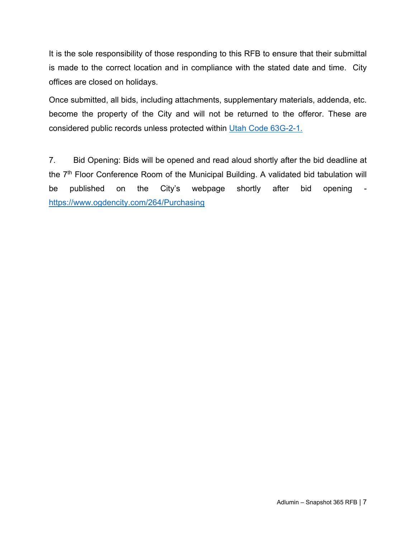It is the sole responsibility of those responding to this RFB to ensure that their submittal is made to the correct location and in compliance with the stated date and time. City offices are closed on holidays.

Once submitted, all bids, including attachments, supplementary materials, addenda, etc. become the property of the City and will not be returned to the offeror. These are considered public records unless protected within Utah Code 63G-2-1.

7. Bid Opening: Bids will be opened and read aloud shortly after the bid deadline at the 7<sup>th</sup> Floor Conference Room of the Municipal Building. A validated bid tabulation will be published on the City's webpage shortly after bid opening https://www.ogdencity.com/264/Purchasing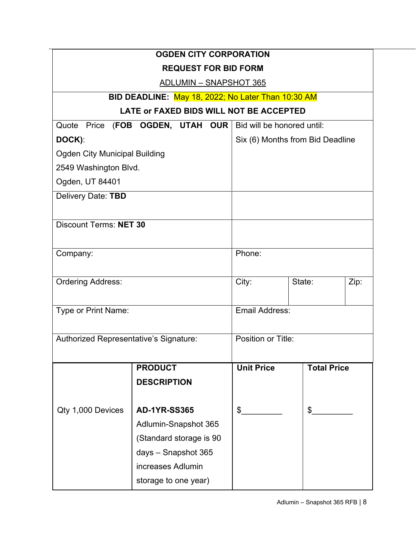| <b>OGDEN CITY CORPORATION</b>                                 |                                  |                    |                    |      |  |
|---------------------------------------------------------------|----------------------------------|--------------------|--------------------|------|--|
| <b>REQUEST FOR BID FORM</b>                                   |                                  |                    |                    |      |  |
| <b>ADLUMIN - SNAPSHOT 365</b>                                 |                                  |                    |                    |      |  |
| BID DEADLINE: May 18, 2022; No Later Than 10:30 AM            |                                  |                    |                    |      |  |
| LATE or FAXED BIDS WILL NOT BE ACCEPTED                       |                                  |                    |                    |      |  |
| Quote Price (FOB OGDEN, UTAH OUR   Bid will be honored until: |                                  |                    |                    |      |  |
| DOCK):                                                        | Six (6) Months from Bid Deadline |                    |                    |      |  |
| <b>Ogden City Municipal Building</b>                          |                                  |                    |                    |      |  |
| 2549 Washington Blvd.                                         |                                  |                    |                    |      |  |
| Ogden, UT 84401                                               |                                  |                    |                    |      |  |
| Delivery Date: TBD                                            |                                  |                    |                    |      |  |
|                                                               |                                  |                    |                    |      |  |
| <b>Discount Terms: NET 30</b>                                 |                                  |                    |                    |      |  |
|                                                               |                                  | Phone:             |                    |      |  |
| Company:                                                      |                                  |                    |                    |      |  |
| <b>Ordering Address:</b>                                      |                                  | City:              | State:             | Zip: |  |
|                                                               |                                  |                    |                    |      |  |
| Type or Print Name:                                           |                                  | Email Address:     |                    |      |  |
|                                                               |                                  |                    |                    |      |  |
| Authorized Representative's Signature:                        |                                  | Position or Title: |                    |      |  |
|                                                               |                                  |                    |                    |      |  |
|                                                               | <b>PRODUCT</b>                   | <b>Unit Price</b>  | <b>Total Price</b> |      |  |
|                                                               | <b>DESCRIPTION</b>               |                    |                    |      |  |
|                                                               |                                  |                    |                    |      |  |
| Qty 1,000 Devices                                             | <b>AD-1YR-SS365</b>              | \$                 | \$                 |      |  |
|                                                               | Adlumin-Snapshot 365             |                    |                    |      |  |
|                                                               | (Standard storage is 90          |                    |                    |      |  |
|                                                               | days - Snapshot 365              |                    |                    |      |  |
|                                                               | increases Adlumin                |                    |                    |      |  |
|                                                               | storage to one year)             |                    |                    |      |  |